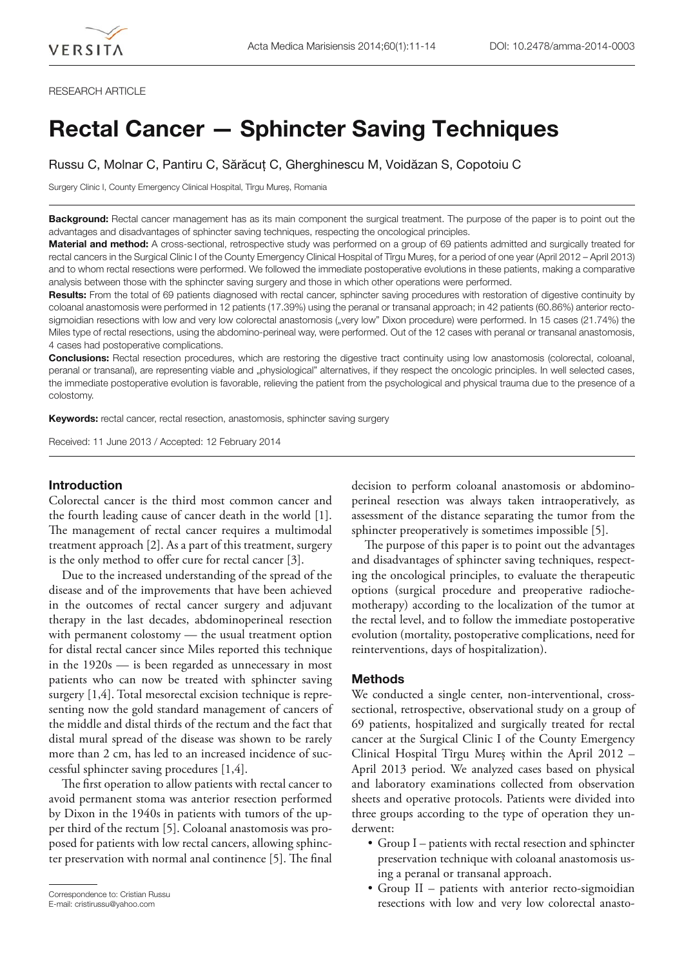### RESEARCH ARTICLE

# **Rectal Cancer — Sphincter Saving Techniques**

Russu C, Molnar C, Pantiru C, Sărăcuț C, Gherghinescu M, Voidăzan S, Copotoiu C

Surgery Clinic I, County Emergency Clinical Hospital, Tîrgu Mures, Romania

**Background:** Rectal cancer management has as its main component the surgical treatment. The purpose of the paper is to point out the advantages and disadvantages of sphincter saving techniques, respecting the oncological principles.

**Material and method:** A cross-sectional, retrospective study was performed on a group of 69 patients admitted and surgically treated for rectal cancers in the Surgical Clinic I of the County Emergency Clinical Hospital of Tîrgu Mureș, for a period of one year (April 2012 – April 2013) and to whom rectal resections were performed. We followed the immediate postoperative evolutions in these patients, making a comparative analysis between those with the sphincter saving surgery and those in which other operations were performed.

**Results:** From the total of 69 patients diagnosed with rectal cancer, sphincter saving procedures with restoration of digestive continuity by coloanal anastomosis were performed in 12 patients (17.39%) using the peranal or transanal approach; in 42 patients (60.86%) anterior rectosigmoidian resections with low and very low colorectal anastomosis ("very low" Dixon procedure) were performed. In 15 cases (21.74%) the Miles type of rectal resections, using the abdomino-perineal way, were performed. Out of the 12 cases with peranal or transanal anastomosis, 4 cases had postoperative complications.

**Conclusions:** Rectal resection procedures, which are restoring the digestive tract continuity using low anastomosis (colorectal, coloanal, peranal or transanal), are representing viable and "physiological" alternatives, if they respect the oncologic principles. In well selected cases, the immediate postoperative evolution is favorable, relieving the patient from the psychological and physical trauma due to the presence of a colostomy.

**Keywords:** rectal cancer, rectal resection, anastomosis, sphincter saving surgery

Received: 11 June 2013 / Accepted: 12 February 2014

## **Introduction**

Colorectal cancer is the third most common cancer and the fourth leading cause of cancer death in the world [1]. The management of rectal cancer requires a multimodal treatment approach [2]. As a part of this treatment, surgery is the only method to offer cure for rectal cancer [3].

Due to the increased understanding of the spread of the disease and of the improvements that have been achieved in the outcomes of rectal cancer surgery and adjuvant therapy in the last decades, abdominoperineal resection with permanent colostomy — the usual treatment option for distal rectal cancer since Miles reported this technique in the 1920s — is been regarded as unnecessary in most patients who can now be treated with sphincter saving surgery [1,4]. Total mesorectal excision technique is representing now the gold standard management of cancers of the middle and distal thirds of the rectum and the fact that distal mural spread of the disease was shown to be rarely more than 2 cm, has led to an increased incidence of successful sphincter saving procedures [1,4].

The first operation to allow patients with rectal cancer to avoid permanent stoma was anterior resection performed by Dixon in the 1940s in patients with tumors of the upper third of the rectum [5]. Coloanal anastomosis was proposed for patients with low rectal cancers, allowing sphincter preservation with normal anal continence [5]. The final

E-mail: cristirussu@yahoo.com

decision to perform coloanal anastomosis or abdominoperineal resection was always taken intraoperatively, as assessment of the distance separating the tumor from the sphincter preoperatively is sometimes impossible [5].

The purpose of this paper is to point out the advantages and disadvantages of sphincter saving techniques, respecting the oncological principles, to evaluate the therapeutic options (surgical procedure and preoperative radiochemotherapy) according to the localization of the tumor at the rectal level, and to follow the immediate postoperative evolution (mortality, postoperative complications, need for reinterventions, days of hospitalization).

#### **Methods**

We conducted a single center, non-interventional, crosssectional, retrospective, observational study on a group of 69 patients, hospitalized and surgically treated for rectal cancer at the Surgical Clinic I of the County Emergency Clinical Hospital Tîrgu Mureș within the April 2012 – April 2013 period. We analyzed cases based on physical and laboratory examinations collected from observation sheets and operative protocols. Patients were divided into three groups according to the type of operation they underwent:

- Group I patients with rectal resection and sphincter preservation technique with coloanal anastomosis using a peranal or transanal approach.
- Group II patients with anterior recto-sigmoidian Correspondence to: Cristian Russu<br>
E-mail: cristirussu@yahoo.com **E-mail:** cristirussu@yahoo.com **E-mail:** cristirussu@yahoo.com **E-mail:** cristirussu@yahoo.com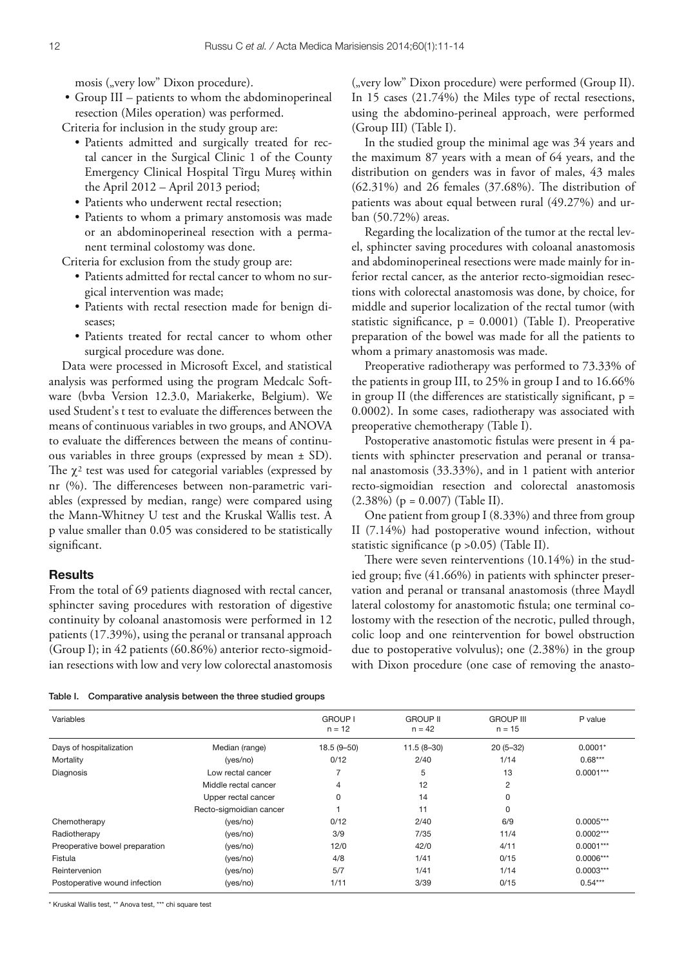mosis ("very low" Dixon procedure).

• Group III – patients to whom the abdominoperineal resection (Miles operation) was performed.

Criteria for inclusion in the study group are:

- Patients admitted and surgically treated for rectal cancer in the Surgical Clinic 1 of the County Emergency Clinical Hospital Tîrgu Mureș within the April 2012 – April 2013 period;
- Patients who underwent rectal resection;
- Patients to whom a primary anstomosis was made or an abdominoperineal resection with a permanent terminal colostomy was done.

Criteria for exclusion from the study group are:

- Patients admitted for rectal cancer to whom no surgical intervention was made;
- Patients with rectal resection made for benign diseases;
- Patients treated for rectal cancer to whom other surgical procedure was done.

Data were processed in Microsoft Excel, and statistical analysis was performed using the program Medcalc Software (bvba Version 12.3.0, Mariakerke, Belgium). We used Student's t test to evaluate the differences between the means of continuous variables in two groups, and ANOVA to evaluate the differences between the means of continuous variables in three groups (expressed by mean ± SD). The  $\chi^2$  test was used for categorial variables (expressed by nr (%). The differenceses between non-parametric variables (expressed by median, range) were compared using the Mann-Whitney U test and the Kruskal Wallis test. A p value smaller than 0.05 was considered to be statistically significant.

## **Results**

From the total of 69 patients diagnosed with rectal cancer, sphincter saving procedures with restoration of digestive continuity by coloanal anastomosis were performed in 12 patients (17.39%), using the peranal or transanal approach (Group I); in 42 patients (60.86%) anterior recto-sigmoidian resections with low and very low colorectal anastomosis ("very low" Dixon procedure) were performed (Group II). In 15 cases (21.74%) the Miles type of rectal resections, using the abdomino-perineal approach, were performed (Group III) (Table I).

In the studied group the minimal age was 34 years and the maximum 87 years with a mean of 64 years, and the distribution on genders was in favor of males, 43 males  $(62.31\%)$  and 26 females  $(37.68\%)$ . The distribution of patients was about equal between rural (49.27%) and urban (50.72%) areas.

Regarding the localization of the tumor at the rectal level, sphincter saving procedures with coloanal anastomosis and abdominoperineal resections were made mainly for inferior rectal cancer, as the anterior recto-sigmoidian resections with colorectal anastomosis was done, by choice, for middle and superior localization of the rectal tumor (with statistic significance,  $p = 0.0001$ ) (Table I). Preoperative preparation of the bowel was made for all the patients to whom a primary anastomosis was made.

Preoperative radiotherapy was performed to 73.33% of the patients in group III, to 25% in group I and to 16.66% in group II (the differences are statistically significant,  $p =$ 0.0002). In some cases, radiotherapy was associated with preoperative chemotherapy (Table I).

Postoperative anastomotic fistulas were present in 4 patients with sphincter preservation and peranal or transanal anastomosis (33.33%), and in 1 patient with anterior recto-sigmoidian resection and colorectal anastomosis  $(2.38\%)$  (p = 0.007) (Table II).

One patient from group I (8.33%) and three from group II (7.14%) had postoperative wound infection, without statistic significance ( $p > 0.05$ ) (Table II).

There were seven reinterventions  $(10.14\%)$  in the studied group; five  $(41.66\%)$  in patients with sphincter preservation and peranal or transanal anastomosis (three Maydl lateral colostomy for anastomotic fistula; one terminal colostomy with the resection of the necrotic, pulled through, colic loop and one reintervention for bowel obstruction due to postoperative volvulus); one (2.38%) in the group with Dixon procedure (one case of removing the anasto-

Table I. Comparative analysis between the three studied groups

| Variables                      |                         | <b>GROUP I</b><br>$n = 12$ | <b>GROUP II</b><br>$n = 42$ | <b>GROUP III</b><br>$n = 15$ | P value     |
|--------------------------------|-------------------------|----------------------------|-----------------------------|------------------------------|-------------|
| Days of hospitalization        | Median (range)          | $18.5(9 - 50)$             | $11.5(8-30)$                | $20(5-32)$                   | $0.0001*$   |
| Mortality                      | (yes/no)                | 0/12                       | 2/40                        | 1/14                         | $0.68***$   |
| Diagnosis                      | Low rectal cancer       |                            | 5                           | 13                           | $0.0001***$ |
|                                | Middle rectal cancer    | 4                          | 12                          | 2                            |             |
|                                | Upper rectal cancer     | 0                          | 14                          | 0                            |             |
|                                | Recto-sigmoidian cancer |                            | 11                          | 0                            |             |
| Chemotherapy                   | (yes/no)                | 0/12                       | 2/40                        | 6/9                          | $0.0005***$ |
| Radiotherapy                   | (yes/no)                | 3/9                        | 7/35                        | 11/4                         | $0.0002***$ |
| Preoperative bowel preparation | (yes/no)                | 12/0                       | 42/0                        | 4/11                         | $0.0001***$ |
| Fistula                        | (yes/no)                | 4/8                        | 1/41                        | 0/15                         | $0.0006***$ |
| Reintervenion                  | (yes/no)                | 5/7                        | 1/41                        | 1/14                         | $0.0003***$ |
| Postoperative wound infection  | (yes/no)                | 1/11                       | 3/39                        | 0/15                         | $0.54***$   |
|                                |                         |                            |                             |                              |             |

\* Kruskal Wallis test, \*\* Anova test, \*\*\* chi square test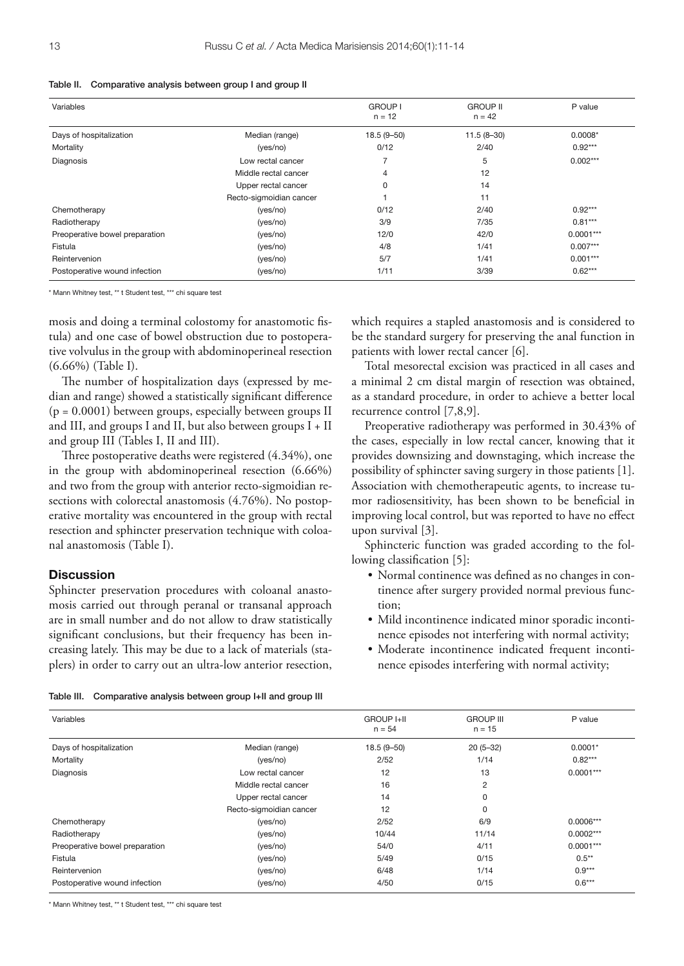|  | Table II. Comparative analysis between group I and group II |  |  |  |  |  |  |
|--|-------------------------------------------------------------|--|--|--|--|--|--|
|--|-------------------------------------------------------------|--|--|--|--|--|--|

| Variables                      |                         | <b>GROUP I</b><br>$n = 12$ | <b>GROUP II</b><br>$n = 42$ | P value     |
|--------------------------------|-------------------------|----------------------------|-----------------------------|-------------|
| Days of hospitalization        | Median (range)          | $18.5(9 - 50)$             | $11.5(8-30)$                | $0.0008*$   |
| Mortality                      | (yes/no)                | 0/12                       | 2/40                        | $0.92***$   |
| Diagnosis                      | Low rectal cancer       | 7                          | 5                           | $0.002***$  |
|                                | Middle rectal cancer    | 4                          | 12                          |             |
|                                | Upper rectal cancer     | 0                          | 14                          |             |
|                                | Recto-sigmoidian cancer |                            | 11                          |             |
| Chemotherapy                   | (yes/no)                | 0/12                       | 2/40                        | $0.92***$   |
| Radiotherapy                   | (yes/no)                | 3/9                        | 7/35                        | $0.81***$   |
| Preoperative bowel preparation | (yes/no)                | 12/0                       | 42/0                        | $0.0001***$ |
| Fistula                        | (yes/no)                | 4/8                        | 1/41                        | $0.007***$  |
| Reintervenion                  | (yes/no)                | 5/7                        | 1/41                        | $0.001***$  |
| Postoperative wound infection  | (yes/no)                | 1/11                       | 3/39                        | $0.62***$   |
|                                |                         |                            |                             |             |

\* Mann Whitney test, \*\* t Student test, \*\*\* chi square test

mosis and doing a terminal colostomy for anastomotic fistula) and one case of bowel obstruction due to postoperative volvulus in the group with abdominoperineal resection (6.66%) (Table I).

The number of hospitalization days (expressed by median and range) showed a statistically significant difference  $(p = 0.0001)$  between groups, especially between groups II and III, and groups I and II, but also between groups I + II and group III (Tables I, II and III).

Three postoperative deaths were registered (4.34%), one in the group with abdominoperineal resection (6.66%) and two from the group with anterior recto-sigmoidian resections with colorectal anastomosis (4.76%). No postoperative mortality was encountered in the group with rectal resection and sphincter preservation technique with coloanal anastomosis (Table I).

## **Discussion**

Sphincter preservation procedures with coloanal anastomosis carried out through peranal or transanal approach are in small number and do not allow to draw statistically significant conclusions, but their frequency has been increasing lately. This may be due to a lack of materials (staplers) in order to carry out an ultra-low anterior resection, which requires a stapled anastomosis and is considered to be the standard surgery for preserving the anal function in patients with lower rectal cancer [6].

Total mesorectal excision was practiced in all cases and a minimal 2 cm distal margin of resection was obtained, as a standard procedure, in order to achieve a better local recurrence control [7,8,9].

Preoperative radiotherapy was performed in 30.43% of the cases, especially in low rectal cancer, knowing that it provides downsizing and downstaging, which increase the possibility of sphincter saving surgery in those patients [1]. Association with chemotherapeutic agents, to increase tumor radiosensitivity, has been shown to be beneficial in improving local control, but was reported to have no effect upon survival [3].

Sphincteric function was graded according to the following classification [5]:

- Normal continence was defined as no changes in continence after surgery provided normal previous function;
- Mild incontinence indicated minor sporadic incontinence episodes not interfering with normal activity;
- Moderate incontinence indicated frequent incontinence episodes interfering with normal activity;

| Table III. | Comparative analysis between group I+II and group III |  |
|------------|-------------------------------------------------------|--|
|            |                                                       |  |

| Variables                      |                         | <b>GROUP I+II</b><br>$n = 54$ | <b>GROUP III</b><br>$n = 15$ | P value     |
|--------------------------------|-------------------------|-------------------------------|------------------------------|-------------|
| Days of hospitalization        | Median (range)          | $18.5(9 - 50)$                | $20(5-32)$                   | $0.0001*$   |
| Mortality                      | (yes/no)                | 2/52                          | 1/14                         | $0.82***$   |
| Diagnosis                      | Low rectal cancer       | 12                            | 13                           | $0.0001***$ |
|                                | Middle rectal cancer    | 16                            | 2                            |             |
|                                | Upper rectal cancer     | 14                            | 0                            |             |
|                                | Recto-sigmoidian cancer | 12                            | 0                            |             |
| Chemotherapy                   | (yes/no)                | 2/52                          | 6/9                          | $0.0006***$ |
| Radiotherapy                   | (yes/no)                | 10/44                         | 11/14                        | $0.0002***$ |
| Preoperative bowel preparation | (yes/no)                | 54/0                          | 4/11                         | $0.0001***$ |
| Fistula                        | (yes/no)                | 5/49                          | 0/15                         | $0.5***$    |
| Reintervenion                  | (yes/no)                | 6/48                          | 1/14                         | $0.9***$    |
| Postoperative wound infection  | (yes/no)                | 4/50                          | 0/15                         | $0.6***$    |

\* Mann Whitney test, \*\* t Student test, \*\*\* chi square test